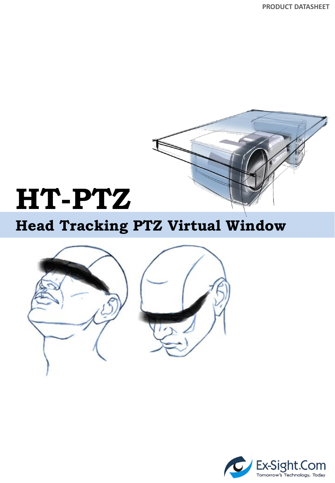**PRODUCT DATASHEET**



# **HT-PTZ**

### **Head Tracking PTZ Virtual Window**



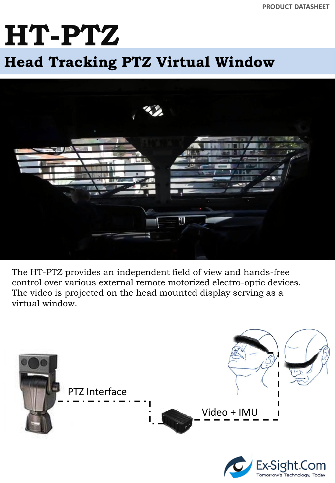# **HT-PTZ**

### c **Head Tracking PTZ Virtual Window**



The HT-PTZ provides an independent field of view and hands-free control over various external remote motorized electro-optic devices. The video is projected on the head mounted display serving as a virtual window.



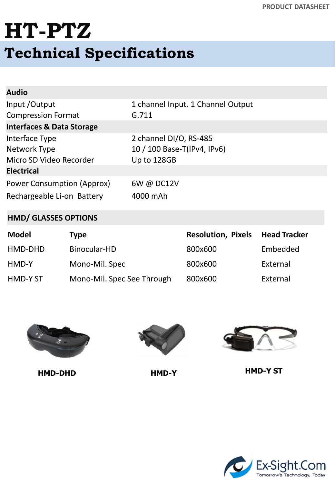## **HT-PTZ Technical Specifications**

| <b>Audio</b>                         |                                   |
|--------------------------------------|-----------------------------------|
| Input / Output                       | 1 channel Input. 1 Channel Output |
| <b>Compression Format</b>            | G.711                             |
| <b>Interfaces &amp; Data Storage</b> |                                   |
| Interface Type                       | 2 channel DI/O, RS-485            |
| Network Type                         | 10 / 100 Base-T(IPv4, IPv6)       |
| Micro SD Video Recorder              | Up to 128GB                       |
| <b>Electrical</b>                    |                                   |
| Power Consumption (Approx)           | 6W @ DC12V                        |
| Rechargeable Li-on Battery           | 4000 mAh                          |

#### **HMD/ GLASSES OPTIONS**

| Model    | <b>Type</b>                | <b>Resolution, Pixels</b> | <b>Head Tracker</b> |
|----------|----------------------------|---------------------------|---------------------|
| HMD-DHD  | Binocular-HD               | 800x600                   | Embedded            |
| HMD-Y    | Mono-Mil. Spec             | 800x600                   | External            |
| HMD-Y ST | Mono-Mil. Spec See Through | 800x600                   | External            |







**HMD-DHD HMD-Y HMD-Y ST**